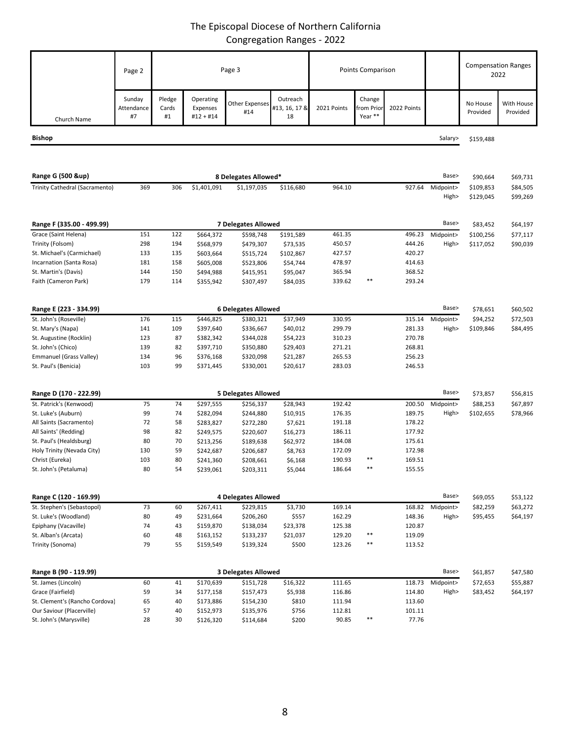## The Episcopal Diocese of Northern California Congregation Ranges - 2022

|                                                     | Page 2                     | Page 3                     |                                      |                              | Points Comparison               |                  |                                 |                  | <b>Compensation Ranges</b><br>2022 |                      |                        |
|-----------------------------------------------------|----------------------------|----------------------------|--------------------------------------|------------------------------|---------------------------------|------------------|---------------------------------|------------------|------------------------------------|----------------------|------------------------|
| Church Name                                         | Sunday<br>Attendance<br>#7 | Pledge<br>Cards<br>#1      | Operating<br>Expenses<br>$#12 + #14$ | <b>Other Expenses</b><br>#14 | Outreach<br>#13, 16, 17 &<br>18 | 2021 Points      | Change<br>from Prior<br>Year ** | 2022 Points      |                                    | No House<br>Provided | With House<br>Provided |
| <b>Bishop</b>                                       |                            |                            |                                      |                              |                                 |                  |                                 |                  | Salary>                            | \$159,488            |                        |
|                                                     |                            |                            |                                      |                              |                                 |                  |                                 |                  |                                    |                      |                        |
| Range G (500 &up)                                   |                            |                            |                                      | 8 Delegates Allowed*         |                                 |                  |                                 |                  | Base>                              | \$90,664             | \$69,731               |
| Trinity Cathedral (Sacramento)                      | 369                        | 306                        | \$1,401,091                          | \$1,197,035                  | \$116,680                       | 964.10           |                                 | 927.64           | Midpoint>                          | \$109,853            | \$84,505               |
|                                                     |                            |                            |                                      |                              |                                 |                  |                                 |                  | High>                              | \$129,045            | \$99,269               |
|                                                     |                            |                            |                                      |                              |                                 |                  |                                 |                  |                                    |                      |                        |
| Range F (335.00 - 499.99)                           |                            | <b>7 Delegates Allowed</b> |                                      |                              |                                 |                  | Base>                           | \$83,452         | \$64,197                           |                      |                        |
| Grace (Saint Helena)                                | 151                        | 122                        | \$664,372                            | \$598,748                    | \$191,589                       | 461.35           |                                 | 496.23           | Midpoint>                          | \$100,256            | \$77,117               |
| Trinity (Folsom)                                    | 298                        | 194                        | \$568,979                            | \$479,307                    | \$73,535                        | 450.57           |                                 | 444.26           | High>                              | \$117,052            | \$90,039               |
| St. Michael's (Carmichael)                          | 133                        | 135                        | \$603,664                            | \$515,724                    | \$102,867                       | 427.57           |                                 | 420.27           |                                    |                      |                        |
| Incarnation (Santa Rosa)                            | 181                        | 158                        | \$605,008                            | \$523,806                    | \$54,744                        | 478.97           |                                 | 414.63           |                                    |                      |                        |
| St. Martin's (Davis)                                | 144                        | 150                        | \$494,988                            | \$415,951                    | \$95,047                        | 365.94           |                                 | 368.52           |                                    |                      |                        |
| Faith (Cameron Park)                                | 179                        | 114                        | \$355,942                            | \$307,497                    | \$84,035                        | 339.62           | $***$                           | 293.24           |                                    |                      |                        |
|                                                     |                            |                            |                                      |                              |                                 |                  |                                 |                  |                                    |                      |                        |
| Range E (223 - 334.99)                              |                            |                            |                                      | <b>6 Delegates Allowed</b>   |                                 |                  |                                 |                  | Base>                              | \$78,651             | \$60,502               |
| St. John's (Roseville)                              | 176                        | 115                        | \$446,825                            | \$380,321                    | \$37,949                        | 330.95           |                                 | 315.14           | Midpoint>                          | \$94,252             | \$72,503               |
| St. Mary's (Napa)                                   | 141                        | 109                        | \$397,640                            | \$336,667                    | \$40,012                        | 299.79           |                                 | 281.33           | High>                              | \$109,846            | \$84,495               |
| St. Augustine (Rocklin)                             | 123                        | 87                         | \$382,342                            | \$344,028                    | \$54,223                        | 310.23           |                                 | 270.78           |                                    |                      |                        |
| St. John's (Chico)                                  | 139                        | 82                         | \$397,710                            | \$350,880                    | \$29,403                        | 271.21           |                                 | 268.81           |                                    |                      |                        |
| Emmanuel (Grass Valley)                             | 134                        | 96                         | \$376,168                            | \$320,098                    | \$21,287                        | 265.53           |                                 | 256.23           |                                    |                      |                        |
| St. Paul's (Benicia)                                | 103                        | 99                         | \$371,445                            | \$330,001                    | \$20,617                        | 283.03           |                                 | 246.53           |                                    |                      |                        |
|                                                     |                            |                            |                                      |                              |                                 |                  |                                 |                  |                                    |                      |                        |
| Range D (170 - 222.99)                              |                            |                            |                                      | <b>5 Delegates Allowed</b>   |                                 |                  |                                 |                  | Base>                              | \$73,857             | \$56,815               |
| St. Patrick's (Kenwood)<br>St. Luke's (Auburn)      | 75<br>99                   | 74<br>74                   | \$297,555<br>\$282,094               | \$256,337<br>\$244,880       | \$28,943                        | 192.42<br>176.35 |                                 | 200.50<br>189.75 | Midpoint>                          | \$88,253             | \$67,897               |
| All Saints (Sacramento)                             | 72                         | 58                         | \$283,827                            | \$272,280                    | \$10,915<br>\$7,621             | 191.18           |                                 | 178.22           | High>                              | \$102,655            | \$78,966               |
| All Saints' (Redding)                               | 98                         | 82                         | \$249,575                            | \$220,607                    | \$16,273                        | 186.11           |                                 | 177.92           |                                    |                      |                        |
| St. Paul's (Healdsburg)                             | 80                         | 70                         | \$213,256                            | \$189,638                    | \$62,972                        | 184.08           |                                 | 175.61           |                                    |                      |                        |
| Holy Trinity (Nevada City)                          | 130                        | 59                         | \$242,687                            | \$206,687                    | \$8,763                         | 172.09           |                                 | 172.98           |                                    |                      |                        |
| Christ (Eureka)                                     | 103                        | 80                         | \$241,360                            | \$208,661                    | \$6,168                         | 190.93           | $***$                           | 169.51           |                                    |                      |                        |
| St. John's (Petaluma)                               | 80                         |                            | \$239,061                            | \$203,311                    | \$5,044                         | 186.64           |                                 | 155.55           |                                    |                      |                        |
|                                                     |                            |                            |                                      |                              |                                 |                  |                                 |                  |                                    |                      |                        |
| Range C (120 - 169.99)                              |                            |                            |                                      | <b>4 Delegates Allowed</b>   |                                 |                  |                                 |                  | Base>                              | \$69,055             | \$53,122               |
| St. Stephen's (Sebastopol)                          | 73                         | 60                         | \$267,411                            | \$229,815                    | \$3,730                         | 169.14           |                                 | 168.82           | Midpoint>                          | \$82,259             | \$63,272               |
| St. Luke's (Woodland)                               | 80                         | 49                         | \$231,664                            | \$206,260                    | \$557                           | 162.29           |                                 | 148.36           | High>                              | \$95,455             | \$64,197               |
| Epiphany (Vacaville)                                | 74                         | 43                         | \$159,870                            | \$138,034                    | \$23,378                        | 125.38           |                                 | 120.87           |                                    |                      |                        |
| St. Alban's (Arcata)                                | 60                         | 48                         | \$163,152                            | \$133,237                    | \$21,037                        | 129.20           | $***$                           | 119.09           |                                    |                      |                        |
| Trinity (Sonoma)                                    | 79                         | 55                         | \$159,549                            | \$139,324                    | \$500                           | 123.26           | $***$                           | 113.52           |                                    |                      |                        |
|                                                     |                            |                            |                                      |                              |                                 |                  |                                 |                  |                                    |                      |                        |
| Range B (90 - 119.99)                               |                            |                            |                                      | <b>3 Delegates Allowed</b>   |                                 |                  |                                 |                  | Base>                              | \$61,857             | \$47,580               |
| St. James (Lincoln)                                 | 60                         | 41                         | \$170,639                            | \$151,728                    | \$16,322                        | 111.65           |                                 | 118.73           | Midpoint>                          | \$72,653             | \$55,887               |
| Grace (Fairfield)<br>St. Clement's (Rancho Cordova) | 59<br>65                   | 34<br>40                   | \$177,158<br>\$173,886               | \$157,473<br>\$154,230       | \$5,938<br>\$810                | 116.86<br>111.94 |                                 | 114.80<br>113.60 | High>                              | \$83,452             | \$64,197               |
| Our Saviour (Placerville)                           | 57                         | 40                         | \$152,973                            | \$135,976                    | \$756                           | 112.81           |                                 | 101.11           |                                    |                      |                        |

St. John's (Marysville) 28 30 \$126,320 \$114,684 \$200 90.85 \*\* 77.76